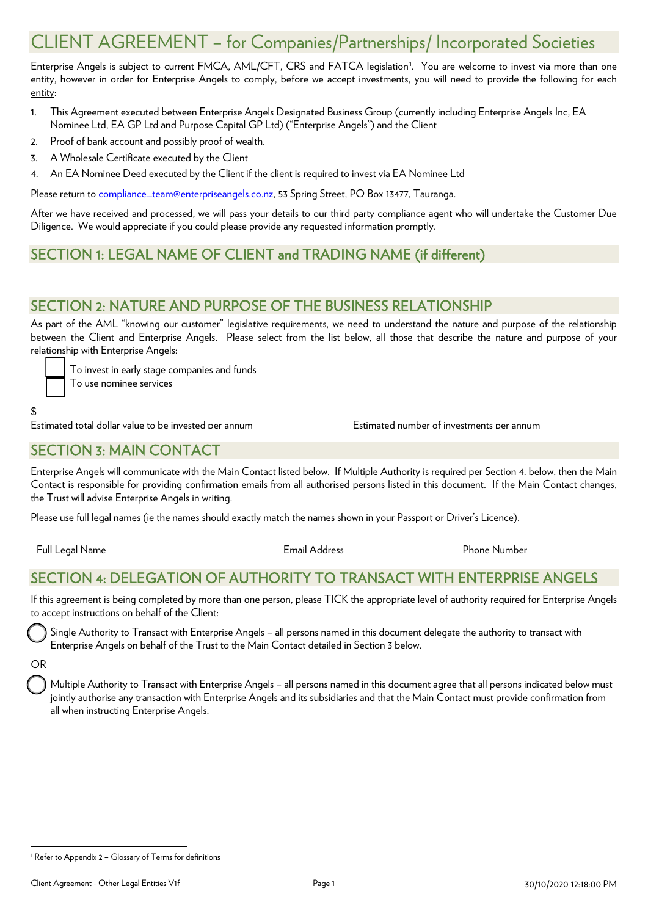# CLIENT AGREEMENT – for Companies/Partnerships/ Incorporated Societies

Enterprise Angels is subject to current FMCA, AML/CFT, CRS and FATCA legislation<sup>[1](#page-0-0)</sup>. You are welcome to invest via more than one entity, however in order for Enterprise Angels to comply, before we accept investments, you will need to provide the following for each entity:

- 1. This Agreement executed between Enterprise Angels Designated Business Group (currently including Enterprise Angels Inc, EA Nominee Ltd, EA GP Ltd and Purpose Capital GP Ltd) ("Enterprise Angels") and the Client
- 2. Proof of bank account and possibly proof of wealth.
- 3. A Wholesale Certificate executed by the Client
- 4. An EA Nominee Deed executed by the Client if the client is required to invest via EA Nominee Ltd

Please return t[o compliance\\_team@enterpriseangels.co.nz,](mailto:compliance_team@enterpriseangels.co.nz) 53 Spring Street, PO Box 13477, Tauranga.

After we have received and processed, we will pass your details to our third party compliance agent who will undertake the Customer Due Diligence. We would appreciate if you could please provide any requested information promptly.

## SECTION 1: LEGAL NAME OF CLIENT and TRADING NAME (if different)

#### SECTION 2: NATURE AND PURPOSE OF THE BUSINESS RELATIONSHIP

As part of the AML "knowing our customer" legislative requirements, we need to understand the nature and purpose of the relationship between the Client and Enterprise Angels. Please select from the list below, all those that describe the nature and purpose of your relationship with Enterprise Angels:

To invest in early stage companies and funds

To use nominee services

#### \$

Estimated total dollar value to be invested per annum Estimated number of investments per annum

#### SECTION 3: MAIN CONTACT

Enterprise Angels will communicate with the Main Contact listed below. If Multiple Authority is required per Section 4. below, then the Main Contact is responsible for providing confirmation emails from all authorised persons listed in this document. If the Main Contact changes, the Trust will advise Enterprise Angels in writing.

Please use full legal names (ie the names should exactly match the names shown in your Passport or Driver's Licence).

Full Legal Name Email Address Phone Number

## SECTION 4: DELEGATION OF AUTHORITY TO TRANSACT WITH ENTERPRISE ANGELS

If this agreement is being completed by more than one person, please TICK the appropriate level of authority required for Enterprise Angels to accept instructions on behalf of the Client:

 Single Authority to Transact with Enterprise Angels – all persons named in this document delegate the authority to transact with Enterprise Angels on behalf of the Trust to the Main Contact detailed in Section 3 below.

#### OR

 Multiple Authority to Transact with Enterprise Angels – all persons named in this document agree that all persons indicated below must jointly authorise any transaction with Enterprise Angels and its subsidiaries and that the Main Contact must provide confirmation from all when instructing Enterprise Angels.

<span id="page-0-0"></span><sup>&</sup>lt;sup>1</sup> Refer to Appendix 2 - Glossary of Terms for definitions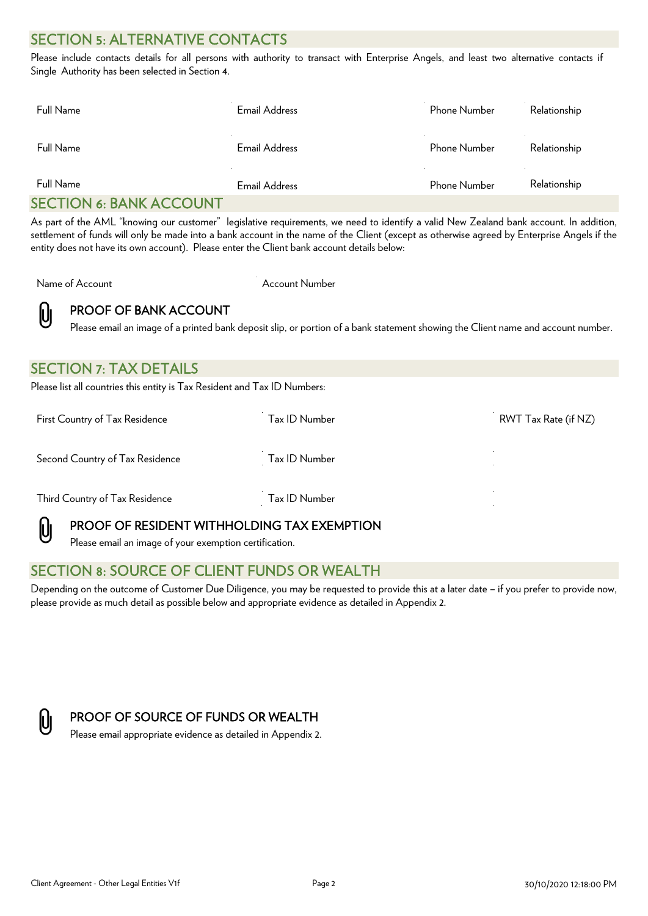## SECTION 5: ALTERNATIVE CONTACTS

Please include contacts details for all persons with authority to transact with Enterprise Angels, and least two alternative contacts if Single Authority has been selected in Section 4.

| Full Name                      | Email Address | Phone Number | Relationship             |
|--------------------------------|---------------|--------------|--------------------------|
| Full Name                      | Email Address | Phone Number | <b>A</b><br>Relationship |
| Full Name                      | Email Address | Phone Number | Relationship             |
| <b>SECTION 6: BANK ACCOUNT</b> |               |              |                          |

As part of the AML "knowing our customer" legislative requirements, we need to identify a valid New Zealand bank account. In addition, settlement of funds will only be made into a bank account in the name of the Client (except as otherwise agreed by Enterprise Angels if the entity does not have its own account). Please enter the Client bank account details below:

Name of Account Account Number



PROOF OF BANK ACCOUNT

Please email an image of a printed bank deposit slip, or portion of a bank statement showing the Client name and account number.

| Please list all countries this entity is Tax Resident and Tax ID Numbers: |                      |
|---------------------------------------------------------------------------|----------------------|
| Tax ID Number                                                             | RWT Tax Rate (if NZ) |
| Tax ID Number                                                             |                      |
| Tax ID Number                                                             |                      |
|                                                                           |                      |



#### PROOF OF RESIDENT WITHHOLDING TAX EXEMPTION

Please email an image of your exemption certification.

#### SECTION 8: SOURCE OF CLIENT FUNDS OR WEALTH

Depending on the outcome of Customer Due Diligence, you may be requested to provide this at a later date – if you prefer to provide now, please provide as much detail as possible below and appropriate evidence as detailed in Appendix 2.



#### PROOF OF SOURCE OF FUNDS OR WEALTH

Please email appropriate evidence as detailed in Appendix 2.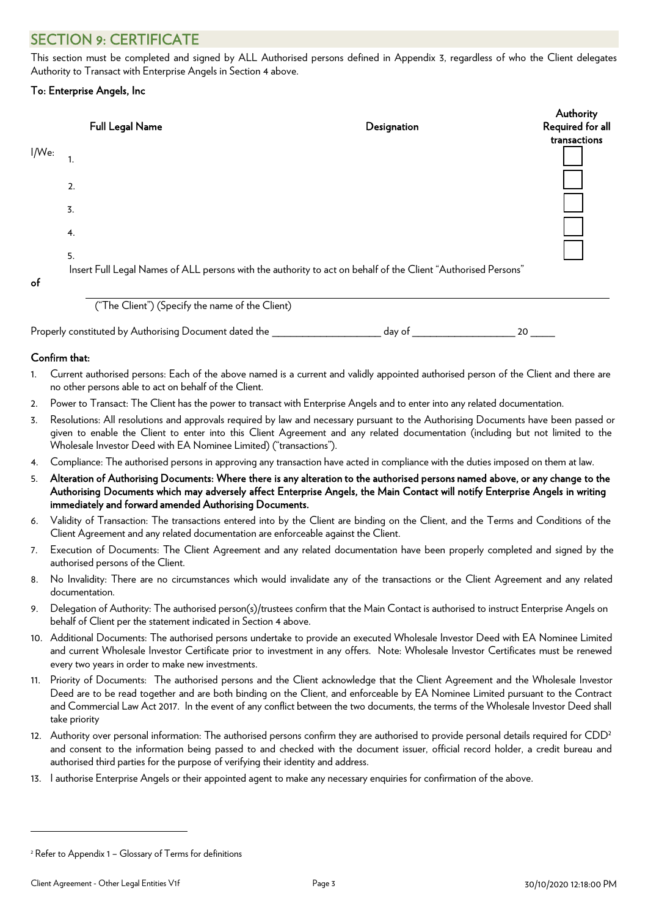## SECTION 9: CERTIFICATE

This section must be completed and signed by ALL Authorised persons defined in Appendix 3, regardless of who the Client delegates Authority to Transact with Enterprise Angels in Section 4 above.

#### To: Enterprise Angels, Inc

|       |                  |                                                                                                               |             | Authority        |
|-------|------------------|---------------------------------------------------------------------------------------------------------------|-------------|------------------|
|       |                  | <b>Full Legal Name</b>                                                                                        | Designation | Required for all |
|       |                  |                                                                                                               |             | transactions     |
| I/We: | . .              |                                                                                                               |             |                  |
|       | 2.               |                                                                                                               |             |                  |
|       |                  |                                                                                                               |             |                  |
|       | $\overline{3}$ . |                                                                                                               |             |                  |
|       | 4.               |                                                                                                               |             |                  |
|       | 5.               |                                                                                                               |             |                  |
|       |                  | Insert Full Legal Names of ALL persons with the authority to act on behalf of the Client "Authorised Persons" |             |                  |
| of    |                  |                                                                                                               |             |                  |
|       |                  | $\sim$<br>$\cdots$<br>$\sim$ $\sim$ $\sim$<br>$\sim$ $\sim$ $\sim$                                            |             |                  |



Properly constituted by Authorising Document dated the \_\_\_\_\_\_\_\_\_\_\_\_\_\_\_\_\_\_\_\_ day of \_\_\_\_\_\_\_\_\_\_\_\_\_\_\_\_\_\_\_\_\_\_\_ 20 \_

#### Confirm that:

- 1. Current authorised persons: Each of the above named is a current and validly appointed authorised person of the Client and there are no other persons able to act on behalf of the Client.
- 2. Power to Transact: The Client has the power to transact with Enterprise Angels and to enter into any related documentation.
- 3. Resolutions: All resolutions and approvals required by law and necessary pursuant to the Authorising Documents have been passed or given to enable the Client to enter into this Client Agreement and any related documentation (including but not limited to the Wholesale Investor Deed with EA Nominee Limited) ("transactions").
- 4. Compliance: The authorised persons in approving any transaction have acted in compliance with the duties imposed on them at law.
- 5. Alteration of Authorising Documents: Where there is any alteration to the authorised persons named above, or any change to the Authorising Documents which may adversely affect Enterprise Angels, the Main Contact will notify Enterprise Angels in writing immediately and forward amended Authorising Documents.
- 6. Validity of Transaction: The transactions entered into by the Client are binding on the Client, and the Terms and Conditions of the Client Agreement and any related documentation are enforceable against the Client.
- 7. Execution of Documents: The Client Agreement and any related documentation have been properly completed and signed by the authorised persons of the Client.
- 8. No Invalidity: There are no circumstances which would invalidate any of the transactions or the Client Agreement and any related documentation.
- 9. Delegation of Authority: The authorised person(s)/trustees confirm that the Main Contact is authorised to instruct Enterprise Angels on behalf of Client per the statement indicated in Section 4 above.
- 10. Additional Documents: The authorised persons undertake to provide an executed Wholesale Investor Deed with EA Nominee Limited and current Wholesale Investor Certificate prior to investment in any offers. Note: Wholesale Investor Certificates must be renewed every two years in order to make new investments.
- 11. Priority of Documents: The authorised persons and the Client acknowledge that the Client Agreement and the Wholesale Investor Deed are to be read together and are both binding on the Client, and enforceable by EA Nominee Limited pursuant to the Contract and Commercial Law Act 2017. In the event of any conflict between the two documents, the terms of the Wholesale Investor Deed shall take priority
- 12. Authority over personal information: The authorised persons confirm they are authorised to provide personal details required for CDD<sup>2</sup> and consent to the information being passed to and checked with the document issuer, official record holder, a credit bureau and authorised third parties for the purpose of verifying their identity and address.
- 13. I authorise Enterprise Angels or their appointed agent to make any necessary enquiries for confirmation of the above.

<sup>2</sup> Refer to Appendix 1 – Glossary of Terms for definitions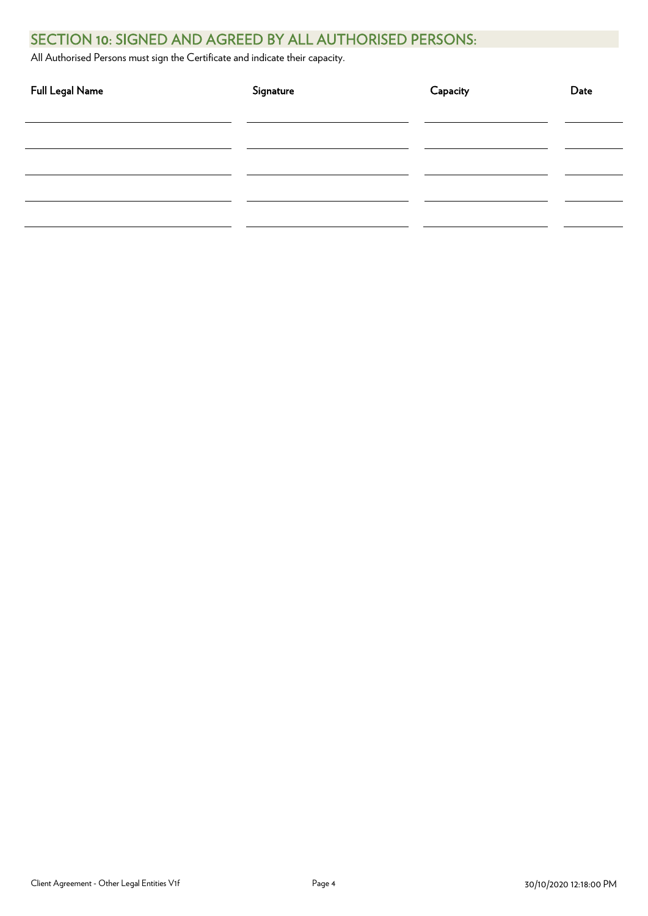## SECTION 10: SIGNED AND AGREED BY ALL AUTHORISED PERSONS:

All Authorised Persons must sign the Certificate and indicate their capacity.

| Full Legal Name | Signature | Capacity | Date |
|-----------------|-----------|----------|------|
|                 |           |          |      |
|                 |           |          |      |
|                 |           |          |      |
|                 |           |          |      |
|                 |           |          |      |
|                 |           |          |      |